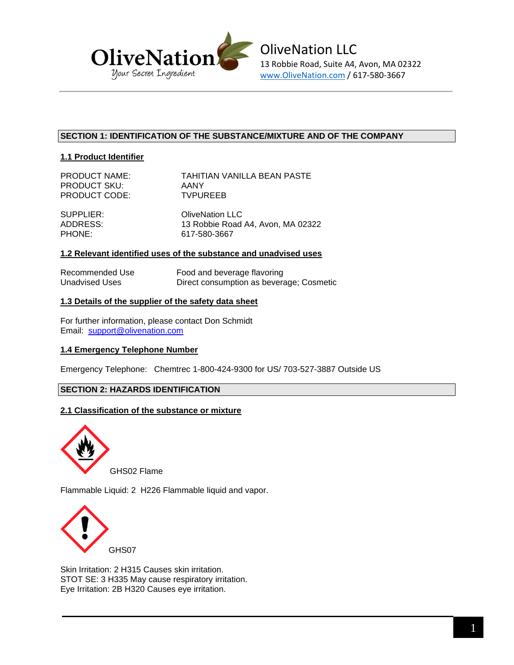

# **SECTION 1: IDENTIFICATION OF THE SUBSTANCE/MIXTURE AND OF THE COMPANY**

# **1.1 Product Identifier**

| <b>PRODUCT NAME:</b> | TAHITIAN VANILLA BEAN PASTE |
|----------------------|-----------------------------|
| <b>PRODUCT SKU:</b>  | AANY                        |
| PRODUCT CODE:        | <b>TVPUREEB</b>             |

SUPPLIER: OliveNation LLC ADDRESS: 13 Robbie Road A4, Avon, MA 02322 PHONE: 617-580-3667

## **1.2 Relevant identified uses of the substance and unadvised uses**

| Recommended Use | Food and beverage flavoring              |
|-----------------|------------------------------------------|
| Unadvised Uses  | Direct consumption as beverage; Cosmetic |

## **1.3 Details of the supplier of the safety data sheet**

For further information, please contact Don Schmidt Email: support@olivenation.com

### **1.4 Emergency Telephone Number**

Emergency Telephone: Chemtrec 1-800-424-9300 for US/ 703-527-3887 Outside US

# **SECTION 2: HAZARDS IDENTIFICATION**

### **2.1 Classification of the substance or mixture**



Flammable Liquid: 2 H226 Flammable liquid and vapor.



Skin Irritation: 2 H315 Causes skin irritation. STOT SE: 3 H335 May cause respiratory irritation. Eye Irritation: 2B H320 Causes eye irritation.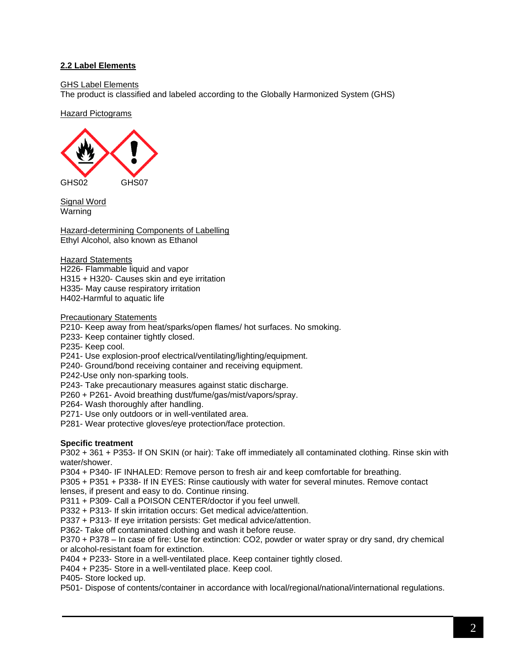# **2.2 Label Elements**

GHS Label Elements

The product is classified and labeled according to the Globally Harmonized System (GHS)

Hazard Pictograms



Signal Word Warning

Hazard-determining Components of Labelling Ethyl Alcohol, also known as Ethanol

Hazard Statements H226- Flammable liquid and vapor H315 + H320- Causes skin and eye irritation H335- May cause respiratory irritation H402-Harmful to aquatic life

Precautionary Statements

P210- Keep away from heat/sparks/open flames/ hot surfaces. No smoking.

P233- Keep container tightly closed.

P235- Keep cool.

P241- Use explosion-proof electrical/ventilating/lighting/equipment.

P240- Ground/bond receiving container and receiving equipment.

P242-Use only non-sparking tools.

P243- Take precautionary measures against static discharge.

P260 + P261- Avoid breathing dust/fume/gas/mist/vapors/spray.

P264- Wash thoroughly after handling.

P271- Use only outdoors or in well-ventilated area.

P281- Wear protective gloves/eye protection/face protection.

### **Specific treatment**

P302 + 361 + P353- If ON SKIN (or hair): Take off immediately all contaminated clothing. Rinse skin with water/shower.

P304 + P340- IF INHALED: Remove person to fresh air and keep comfortable for breathing.

P305 + P351 + P338- If IN EYES: Rinse cautiously with water for several minutes. Remove contact

lenses, if present and easy to do. Continue rinsing.

P311 + P309- Call a POISON CENTER/doctor if you feel unwell.

P332 + P313- If skin irritation occurs: Get medical advice/attention.

P337 + P313- If eye irritation persists: Get medical advice/attention.

P362- Take off contaminated clothing and wash it before reuse.

P370 + P378 – In case of fire: Use for extinction: CO2, powder or water spray or dry sand, dry chemical or alcohol-resistant foam for extinction.

P404 + P233- Store in a well-ventilated place. Keep container tightly closed.

P404 + P235- Store in a well-ventilated place. Keep cool.

P405- Store locked up.

P501- Dispose of contents/container in accordance with local/regional/national/international regulations.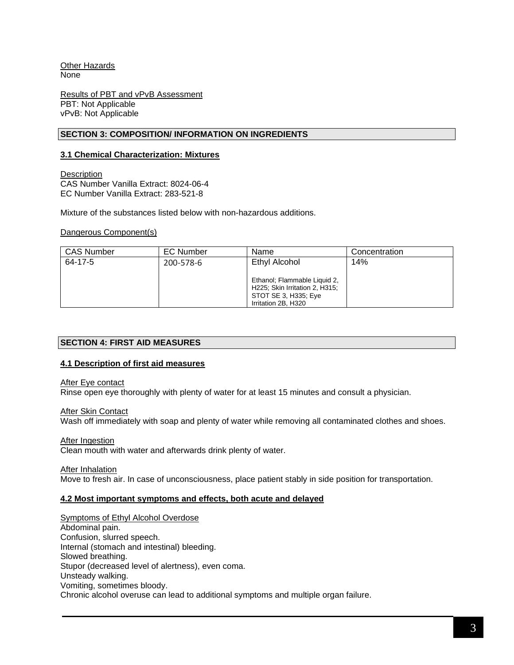Other Hazards None

Results of PBT and vPvB Assessment PBT: Not Applicable vPvB: Not Applicable

## **SECTION 3: COMPOSITION/ INFORMATION ON INGREDIENTS**

## **3.1 Chemical Characterization: Mixtures**

**Description** CAS Number Vanilla Extract: 8024-06-4 EC Number Vanilla Extract: 283-521-8

Mixture of the substances listed below with non-hazardous additions.

### Dangerous Component(s)

| <b>CAS Number</b> | <b>EC Number</b> | Name                                                                                                          | Concentration |
|-------------------|------------------|---------------------------------------------------------------------------------------------------------------|---------------|
| 64-17-5           | 200-578-6        | Ethyl Alcohol                                                                                                 | 14%           |
|                   |                  | Ethanol; Flammable Liquid 2,<br>H225; Skin Irritation 2, H315;<br>STOT SE 3, H335; Eye<br>Irritation 2B, H320 |               |

### **SECTION 4: FIRST AID MEASURES**

### **4.1 Description of first aid measures**

#### **After Eye contact**

Rinse open eye thoroughly with plenty of water for at least 15 minutes and consult a physician.

### After Skin Contact

Wash off immediately with soap and plenty of water while removing all contaminated clothes and shoes.

### After Ingestion

Clean mouth with water and afterwards drink plenty of water.

### After Inhalation

Move to fresh air. In case of unconsciousness, place patient stably in side position for transportation.

### **4.2 Most important symptoms and effects, both acute and delayed**

Symptoms of Ethyl Alcohol Overdose Abdominal pain. Confusion, slurred speech. Internal (stomach and intestinal) bleeding. Slowed breathing. Stupor (decreased level of alertness), even coma. Unsteady walking. Vomiting, sometimes bloody. Chronic alcohol overuse can lead to additional symptoms and multiple organ failure.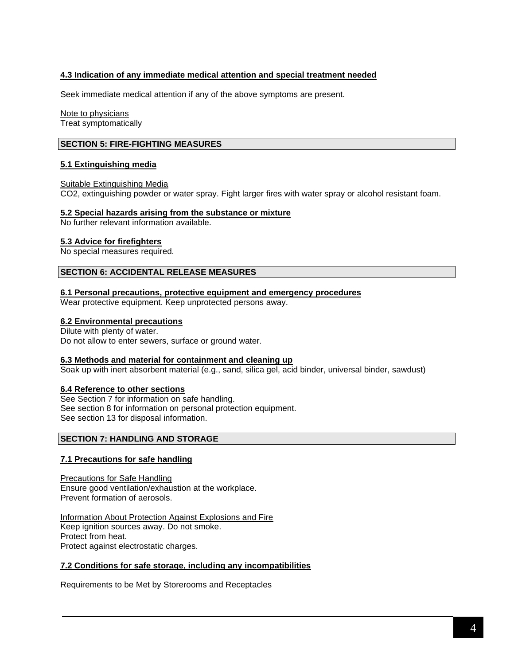## **4.3 Indication of any immediate medical attention and special treatment needed**

Seek immediate medical attention if any of the above symptoms are present.

Note to physicians Treat symptomatically

### **SECTION 5: FIRE-FIGHTING MEASURES**

#### **5.1 Extinguishing media**

#### Suitable Extinguishing Media

CO2, extinguishing powder or water spray. Fight larger fires with water spray or alcohol resistant foam.

#### **5.2 Special hazards arising from the substance or mixture**

No further relevant information available.

#### **5.3 Advice for firefighters**

No special measures required.

#### **SECTION 6: ACCIDENTAL RELEASE MEASURES**

**6.1 Personal precautions, protective equipment and emergency procedures**

Wear protective equipment. Keep unprotected persons away.

#### **6.2 Environmental precautions**

Dilute with plenty of water. Do not allow to enter sewers, surface or ground water.

#### **6.3 Methods and material for containment and cleaning up**

Soak up with inert absorbent material (e.g., sand, silica gel, acid binder, universal binder, sawdust)

### **6.4 Reference to other sections**

See Section 7 for information on safe handling. See section 8 for information on personal protection equipment. See section 13 for disposal information.

## **SECTION 7: HANDLING AND STORAGE**

## **7.1 Precautions for safe handling**

Precautions for Safe Handling Ensure good ventilation/exhaustion at the workplace. Prevent formation of aerosols.

Information About Protection Against Explosions and Fire Keep ignition sources away. Do not smoke. Protect from heat. Protect against electrostatic charges.

#### **7.2 Conditions for safe storage, including any incompatibilities**

Requirements to be Met by Storerooms and Receptacles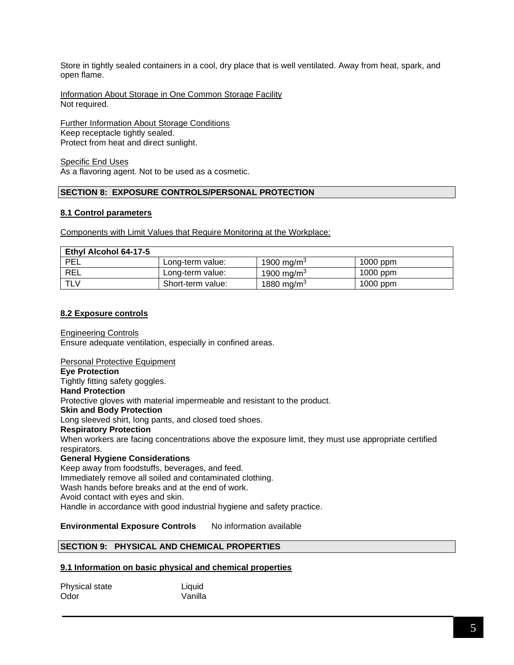Store in tightly sealed containers in a cool, dry place that is well ventilated. Away from heat, spark, and open flame.

Information About Storage in One Common Storage Facility Not required.

Further Information About Storage Conditions Keep receptacle tightly sealed. Protect from heat and direct sunlight.

Specific End Uses As a flavoring agent. Not to be used as a cosmetic.

# **SECTION 8: EXPOSURE CONTROLS/PERSONAL PROTECTION**

## **8.1 Control parameters**

Components with Limit Values that Require Monitoring at the Workplace:

| Ethyl Alcohol 64-17-5 |                   |                        |            |
|-----------------------|-------------------|------------------------|------------|
| <b>PEL</b>            | Long-term value:  | 1900 mg/m <sup>3</sup> | $1000$ ppm |
| REL                   | Long-term value:  | 1900 mg/m <sup>3</sup> | $1000$ ppm |
| <b>TLV</b>            | Short-term value: | 1880 mg/m $^3$         | $1000$ ppm |

### **8.2 Exposure controls**

Engineering Controls Ensure adequate ventilation, especially in confined areas.

Personal Protective Equipment **Eye Protection** Tightly fitting safety goggles. **Hand Protection** Protective gloves with material impermeable and resistant to the product. **Skin and Body Protection** Long sleeved shirt, long pants, and closed toed shoes. **Respiratory Protection** When workers are facing concentrations above the exposure limit, they must use appropriate certified respirators. **General Hygiene Considerations** Keep away from foodstuffs, beverages, and feed. Immediately remove all soiled and contaminated clothing. Wash hands before breaks and at the end of work. Avoid contact with eyes and skin.

Handle in accordance with good industrial hygiene and safety practice.

## **Environmental Exposure Controls** No information available

# **SECTION 9: PHYSICAL AND CHEMICAL PROPERTIES**

### **9.1 Information on basic physical and chemical properties**

| Physical state | Liquid  |
|----------------|---------|
| Odor           | Vanilla |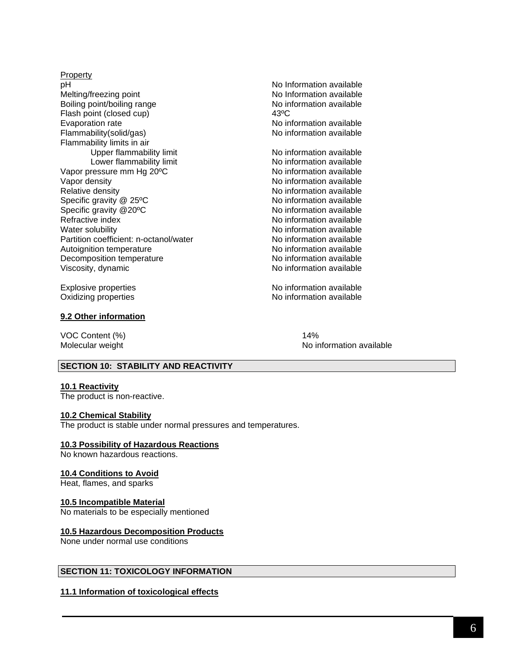Property<br>pH Melting/freezing point No Information available Boiling point/boiling range No information available Flash point (closed cup) 43°C Evaporation rate **No information available** No information available Flammability(solid/gas) and the state of the No information available Flammability limits in air Upper flammability limit View Communication available Lower flammability limit No information available Vapor pressure mm Hg 20°C No information available Vapor density **No information available** Vapor density Relative density **No information available** No information available Specific gravity @ 25°C <br>
No information available Specific gravity @20°C No information available Refractive index **No information available** Water solubility Noting the Material Muslim Controller and Muslim Note information available Partition coefficient: n-octanol/water <br>Autoignition temperature No information available Autoignition temperature<br>
Decomposition temperature<br>
No information available<br>
No information available Decomposition temperature Viscosity, dynamic No information available

No Information available

Explosive properties No information available Oxidizing properties No information available

## **9.2 Other information**

VOC Content (%) 14%

Molecular weight Noire and The Molecular weight Noire and Noire and Noire and Noire and Noire and Noire and No

### **SECTION 10: STABILITY AND REACTIVITY**

#### **10.1 Reactivity**

The product is non-reactive.

### **10.2 Chemical Stability**

The product is stable under normal pressures and temperatures.

### **10.3 Possibility of Hazardous Reactions**

No known hazardous reactions.

## **10.4 Conditions to Avoid**

Heat, flames, and sparks

### **10.5 Incompatible Material**

No materials to be especially mentioned

### **10.5 Hazardous Decomposition Products**

None under normal use conditions

### **SECTION 11: TOXICOLOGY INFORMATION**

### **11.1 Information of toxicological effects**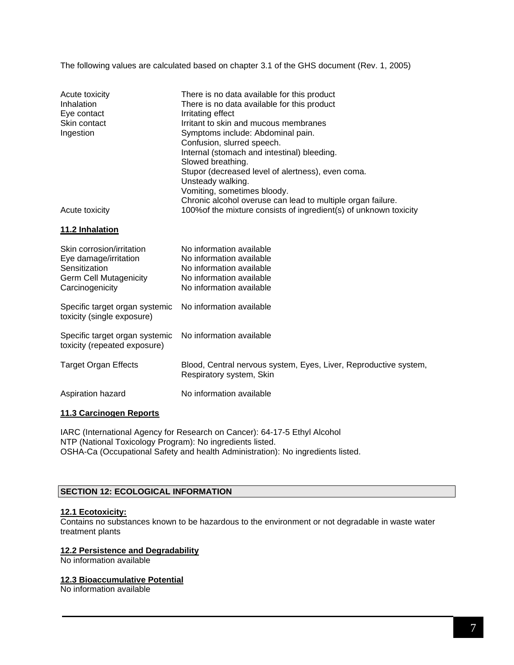The following values are calculated based on chapter 3.1 of the GHS document (Rev. 1, 2005)

| Acute toxicity<br>Inhalation<br>Eye contact<br>Skin contact<br>Ingestion                                                | There is no data available for this product<br>There is no data available for this product<br>Irritating effect<br>Irritant to skin and mucous membranes<br>Symptoms include: Abdominal pain.<br>Confusion, slurred speech.<br>Internal (stomach and intestinal) bleeding.<br>Slowed breathing.<br>Stupor (decreased level of alertness), even coma.<br>Unsteady walking.<br>Vomiting, sometimes bloody.<br>Chronic alcohol overuse can lead to multiple organ failure. |
|-------------------------------------------------------------------------------------------------------------------------|-------------------------------------------------------------------------------------------------------------------------------------------------------------------------------------------------------------------------------------------------------------------------------------------------------------------------------------------------------------------------------------------------------------------------------------------------------------------------|
| Acute toxicity                                                                                                          | 100% of the mixture consists of ingredient(s) of unknown toxicity                                                                                                                                                                                                                                                                                                                                                                                                       |
| 11.2 Inhalation                                                                                                         |                                                                                                                                                                                                                                                                                                                                                                                                                                                                         |
| Skin corrosion/irritation<br>Eye damage/irritation<br>Sensitization<br><b>Germ Cell Mutagenicity</b><br>Carcinogenicity | No information available<br>No information available<br>No information available<br>No information available<br>No information available                                                                                                                                                                                                                                                                                                                                |
| Specific target organ systemic<br>toxicity (single exposure)                                                            | No information available                                                                                                                                                                                                                                                                                                                                                                                                                                                |
| Specific target organ systemic<br>toxicity (repeated exposure)                                                          | No information available                                                                                                                                                                                                                                                                                                                                                                                                                                                |
| <b>Target Organ Effects</b>                                                                                             | Blood, Central nervous system, Eyes, Liver, Reproductive system,<br>Respiratory system, Skin                                                                                                                                                                                                                                                                                                                                                                            |
| Aspiration hazard                                                                                                       | No information available                                                                                                                                                                                                                                                                                                                                                                                                                                                |
|                                                                                                                         |                                                                                                                                                                                                                                                                                                                                                                                                                                                                         |

## **11.3 Carcinogen Reports**

IARC (International Agency for Research on Cancer): 64-17-5 Ethyl Alcohol NTP (National Toxicology Program): No ingredients listed. OSHA-Ca (Occupational Safety and health Administration): No ingredients listed.

# **SECTION 12: ECOLOGICAL INFORMATION**

### **12.1 Ecotoxicity:**

Contains no substances known to be hazardous to the environment or not degradable in waste water treatment plants

### **12.2 Persistence and Degradability**

No information available

# **12.3 Bioaccumulative Potential**

No information available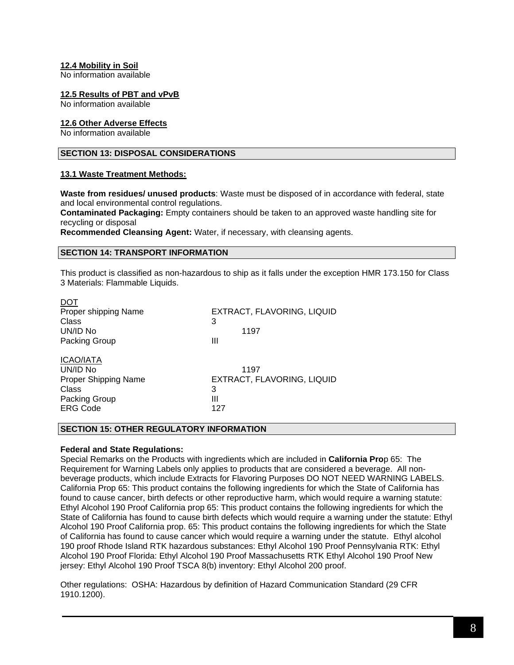## **12.4 Mobility in Soil**

No information available

#### **12.5 Results of PBT and vPvB**

No information available

#### **12.6 Other Adverse Effects**

No information available

 $\sim$   $\sim$   $\sim$ 

# **SECTION 13: DISPOSAL CONSIDERATIONS**

#### **13.1 Waste Treatment Methods:**

**Waste from residues/ unused products**: Waste must be disposed of in accordance with federal, state and local environmental control regulations.

**Contaminated Packaging:** Empty containers should be taken to an approved waste handling site for recycling or disposal

**Recommended Cleansing Agent:** Water, if necessary, with cleansing agents.

#### **SECTION 14: TRANSPORT INFORMATION**

This product is classified as non-hazardous to ship as it falls under the exception HMR 173.150 for Class 3 Materials: Flammable Liquids.

| EXTRACT, FLAVORING, LIQUID |
|----------------------------|
| 3                          |
| 1197                       |
| Ш                          |
|                            |
| 1197                       |
| EXTRACT, FLAVORING, LIQUID |
| 3                          |
| Ш                          |
| 127                        |
|                            |

### **SECTION 15: OTHER REGULATORY INFORMATION**

### **Federal and State Regulations:**

Special Remarks on the Products with ingredients which are included in **California Pro**p 65: The Requirement for Warning Labels only applies to products that are considered a beverage. All nonbeverage products, which include Extracts for Flavoring Purposes DO NOT NEED WARNING LABELS. California Prop 65: This product contains the following ingredients for which the State of California has found to cause cancer, birth defects or other reproductive harm, which would require a warning statute: Ethyl Alcohol 190 Proof California prop 65: This product contains the following ingredients for which the State of California has found to cause birth defects which would require a warning under the statute: Ethyl Alcohol 190 Proof California prop. 65: This product contains the following ingredients for which the State of California has found to cause cancer which would require a warning under the statute. Ethyl alcohol 190 proof Rhode Island RTK hazardous substances: Ethyl Alcohol 190 Proof Pennsylvania RTK: Ethyl Alcohol 190 Proof Florida: Ethyl Alcohol 190 Proof Massachusetts RTK Ethyl Alcohol 190 Proof New jersey: Ethyl Alcohol 190 Proof TSCA 8(b) inventory: Ethyl Alcohol 200 proof.

Other regulations: OSHA: Hazardous by definition of Hazard Communication Standard (29 CFR 1910.1200).